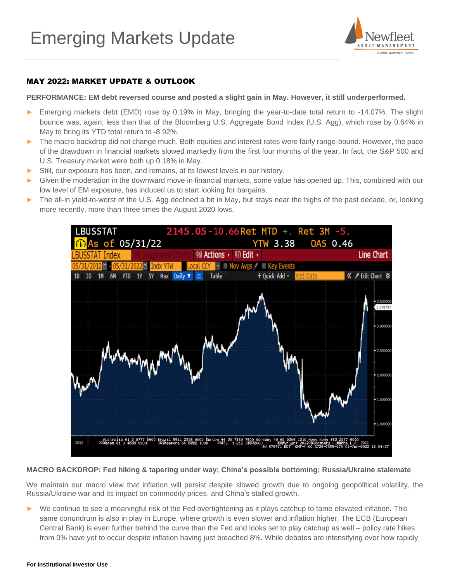

### MAY 2022: MARKET UPDATE & OUTLOOK

#### **PERFORMANCE: EM debt reversed course and posted a slight gain in May. However, it still underperformed.**

- ► Emerging markets debt (EMD) rose by 0.19% in May, bringing the year-to-date total return to -14.07%. The slight bounce was, again, less than that of the Bloomberg U.S. Aggregate Bond Index (U.S. Agg), which rose by 0.64% in May to bring its YTD total return to -8.92%.
- ► The macro backdrop did not change much. Both equities and interest rates were fairly range-bound. However, the pace of the drawdown in financial markets slowed markedly from the first four months of the year. In fact, the S&P 500 and U.S. Treasury market were both up 0.18% in May.
- Still, our exposure has been, and remains, at its lowest levels in our history.
- Given the moderation in the downward move in financial markets, some value has opened up. This, combined with our low level of EM exposure, has induced us to start looking for bargains.
- ► The all-in yield-to-worst of the U.S. Agg declined a bit in May, but stays near the highs of the past decade, or, looking more recently, more than three times the August 2020 lows.



#### **MACRO BACKDROP: Fed hiking & tapering under way; China's possible bottoming; Russia/Ukraine stalemate**

We maintain our macro view that inflation will persist despite slowed growth due to ongoing geopolitical volatility, the Russia/Ukraine war and its impact on commodity prices, and China's stalled growth.

► We continue to see a meaningful risk of the Fed overtightening as it plays catchup to tame elevated inflation. This same conundrum is also in play in Europe, where growth is even slower and inflation higher. The ECB (European Central Bank) is even further behind the curve than the Fed and looks set to play catchup as well – policy rate hikes from 0% have yet to occur despite inflation having just breached 8%. While debates are intensifying over how rapidly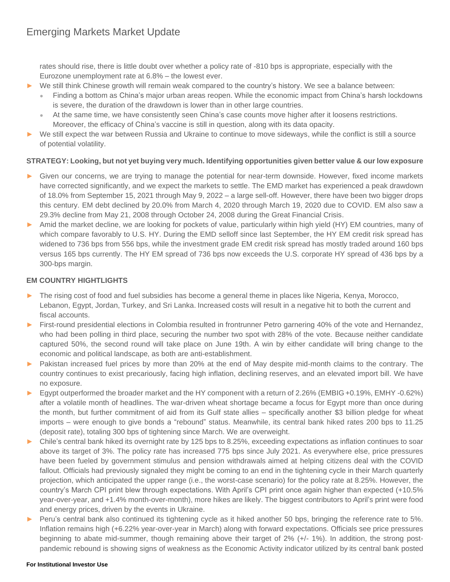rates should rise, there is little doubt over whether a policy rate of -810 bps is appropriate, especially with the Eurozone unemployment rate at 6.8% – the lowest ever.

- ► We still think Chinese growth will remain weak compared to the country's history. We see a balance between:
	- Finding a bottom as China's major urban areas reopen. While the economic impact from China's harsh lockdowns is severe, the duration of the drawdown is lower than in other large countries.
	- At the same time, we have consistently seen China's case counts move higher after it loosens restrictions. Moreover, the efficacy of China's vaccine is still in question, along with its data opacity.
- ► We still expect the war between Russia and Ukraine to continue to move sideways, while the conflict is still a source of potential volatility.

## **STRATEGY: Looking, but not yet buying very much. Identifying opportunities given better value & our low exposure**

- Given our concerns, we are trying to manage the potential for near-term downside. However, fixed income markets have corrected significantly, and we expect the markets to settle. The EMD market has experienced a peak drawdown of 18.0% from September 15, 2021 through May 9, 2022 – a large sell-off. However, there have been two bigger drops this century. EM debt declined by 20.0% from March 4, 2020 through March 19, 2020 due to COVID. EM also saw a 29.3% decline from May 21, 2008 through October 24, 2008 during the Great Financial Crisis.
- ► Amid the market decline, we are looking for pockets of value, particularly within high yield (HY) EM countries, many of which compare favorably to U.S. HY. During the EMD selloff since last September, the HY EM credit risk spread has widened to 736 bps from 556 bps, while the investment grade EM credit risk spread has mostly traded around 160 bps versus 165 bps currently. The HY EM spread of 736 bps now exceeds the U.S. corporate HY spread of 436 bps by a 300-bps margin.

# **EM COUNTRY HIGHTLIGHTS**

- ► The rising cost of food and fuel subsidies has become a general theme in places like Nigeria, Kenya, Morocco, Lebanon, Egypt, Jordan, Turkey, and Sri Lanka. Increased costs will result in a negative hit to both the current and fiscal accounts.
- ► First-round presidential elections in Colombia resulted in frontrunner Petro garnering 40% of the vote and Hernandez, who had been polling in third place, securing the number two spot with 28% of the vote. Because neither candidate captured 50%, the second round will take place on June 19th. A win by either candidate will bring change to the economic and political landscape, as both are anti-establishment.
- ► Pakistan increased fuel prices by more than 20% at the end of May despite mid-month claims to the contrary. The country continues to exist precariously, facing high inflation, declining reserves, and an elevated import bill. We have no exposure.
- ► Egypt outperformed the broader market and the HY component with a return of 2.26% (EMBIG +0.19%, EMHY -0.62%) after a volatile month of headlines. The war-driven wheat shortage became a focus for Egypt more than once during the month, but further commitment of aid from its Gulf state allies – specifically another \$3 billion pledge for wheat imports – were enough to give bonds a "rebound" status. Meanwhile, its central bank hiked rates 200 bps to 11.25 (deposit rate), totaling 300 bps of tightening since March. We are overweight.
- ► Chile's central bank hiked its overnight rate by 125 bps to 8.25%, exceeding expectations as inflation continues to soar above its target of 3%. The policy rate has increased 775 bps since July 2021. As everywhere else, price pressures have been fueled by government stimulus and pension withdrawals aimed at helping citizens deal with the COVID fallout. Officials had previously signaled they might be coming to an end in the tightening cycle in their March quarterly projection, which anticipated the upper range (i.e., the worst-case scenario) for the policy rate at 8.25%. However, the country's March CPI print blew through expectations. With April's CPI print once again higher than expected (+10.5% year-over-year, and +1.4% month-over-month), more hikes are likely. The biggest contributors to April's print were food and energy prices, driven by the events in Ukraine.
- ► Peru's central bank also continued its tightening cycle as it hiked another 50 bps, bringing the reference rate to 5%. Inflation remains high (+6.22% year-over-year in March) along with forward expectations. Officials see price pressures beginning to abate mid-summer, though remaining above their target of 2% (+/- 1%). In addition, the strong postpandemic rebound is showing signs of weakness as the Economic Activity indicator utilized by its central bank posted